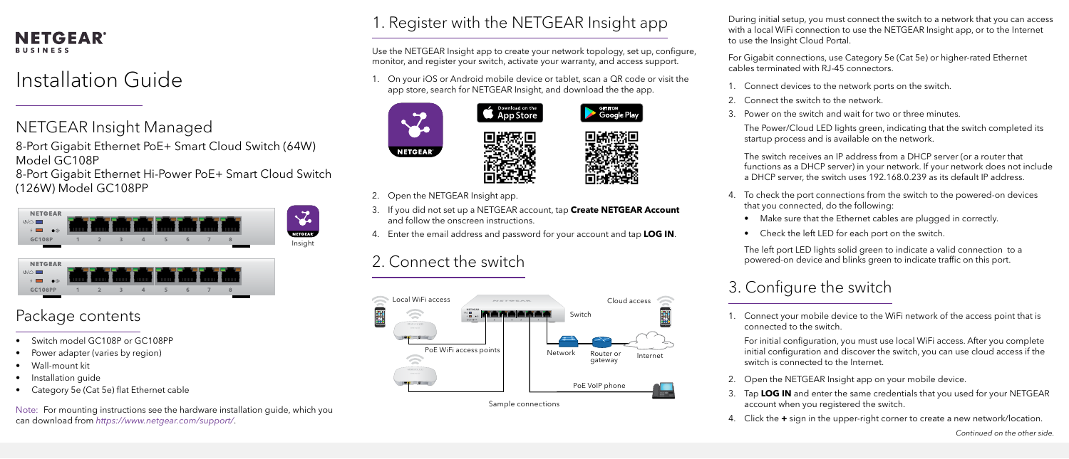#### **NETGEAR BUSINESS**

# Installation Guide

During initial setup, you must connect the switch to a network that you can access with a local WiFi connection to use the NETGEAR Insight app, or to the Internet to use the Insight Cloud Portal.

For Gigabit connections, use Category 5e (Cat 5e) or higher-rated Ethernet cables terminated with RJ-45 connectors.

1. Connect devices to the network ports on the switch.

2. Connect the switch to the network.

3. Power on the switch and wait for two or three minutes.

The Power/Cloud LED lights green, indicating that the switch completed its startup process and is available on the network.

The switch receives an IP address from a DHCP server (or a router that functions as a DHCP server) in your network. If your network does not include a DHCP server, the switch uses 192.168.0.239 as its default IP address.

4. To check the port connections from the switch to the powered-on devices that you connected, do the following:

• Make sure that the Ethernet cables are plugged in correctly.

• Check the left LED for each port on the switch.

The left port LED lights solid green to indicate a valid connection to a powered-on device and blinks green to indicate traffic on this port.

#### 3. Configure the switch

1. Connect your mobile device to the WiFi network of the access point that is connected to the switch.

For initial configuration, you must use local WiFi access. After you complete initial configuration and discover the switch, you can use cloud access if the switch is connected to the Internet.

- 
- 
- 

2. Open the NETGEAR Insight app on your mobile device.

3. Tap **LOG IN** and enter the same credentials that you used for your NETGEAR account when you registered the switch.

4. Click the **+** sign in the upper-right corner to create a new network/location.

*Continued on the other side.*

- NETGEAR Insight Managed
- 8-Port Gigabit Ethernet PoE+ Smart Cloud Switch (64W) Model GC108P
- 8-Port Gigabit Ethernet Hi-Power PoE+ Smart Cloud Switch (126W) Model GC108PP

#### Package contents

- Switch model GC108P or GC108PP
- Power adapter (varies by region)
- Wall-mount kit
- Installation guide
- Category 5e (Cat 5e) flat Ethernet cable

### 1. Register with the NETGEAR Insight app

Use the NETGEAR Insight app to create your network topology, set up, configure, monitor, and register your switch, activate your warranty, and access support.

1. On your iOS or Android mobile device or tablet, scan a QR code or visit the app store, search for NETGEAR Insight, and download the the app.

Download on the





- 2. Open the NETGEAR Insight app.
- 3. If you did not set up a NETGEAR account, tap **Create NETGEAR Account**  and follow the onscreen instructions.
- 4. Enter the email address and password for your account and tap **LOG IN**.

## 2. Connect the switch





Note: For mounting instructions see the hardware installation guide, which you can download from *[https://www.netgear.com/support/](https://www.netgear.com/support)*.



**GET TTON**<br>Google Play











- -
	-